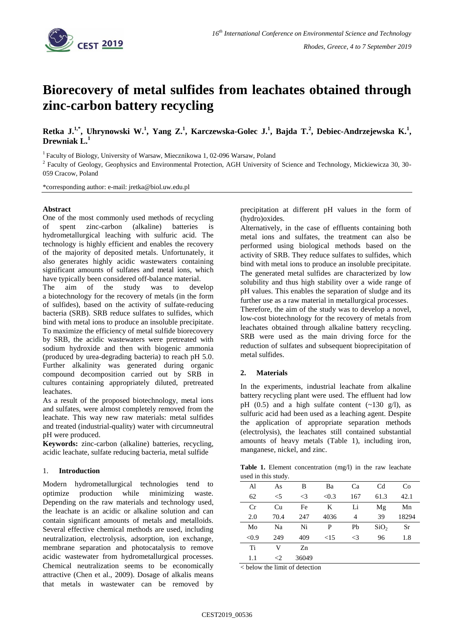

# **Biorecovery of metal sulfides from leachates obtained through zinc-carbon battery recycling**

**Retka J.1,\* , Uhrynowski W.<sup>1</sup> , Yang Z.<sup>1</sup> , Karczewska-Golec J.<sup>1</sup> , Bajda T.<sup>2</sup> , Debiec-Andrzejewska K.<sup>1</sup> , Drewniak L.** 

<sup>1</sup> Faculty of Biology, University of Warsaw, Miecznikowa 1, 02-096 Warsaw, Poland

<sup>2</sup> Faculty of Geology, Geophysics and Environmental Protection, AGH University of Science and Technology, Mickiewicza 30, 30-059 Cracow, Poland

\*corresponding author: e-mail: jretka@biol.uw.edu.pl

### **Abstract**

One of the most commonly used methods of recycling of spent zinc-carbon (alkaline) batteries is hydrometallurgical leaching with sulfuric acid. The technology is highly efficient and enables the recovery of the majority of deposited metals. Unfortunately, it also generates highly acidic wastewaters containing significant amounts of sulfates and metal ions, which have typically been considered off-balance material.

The aim of the study was to develop a biotechnology for the recovery of metals (in the form of sulfides), based on the activity of sulfate-reducing bacteria (SRB). SRB reduce sulfates to sulfides, which bind with metal ions to produce an insoluble precipitate. To maximize the efficiency of metal sulfide biorecovery by SRB, the acidic wastewaters were pretreated with sodium hydroxide and then with biogenic ammonia (produced by urea-degrading bacteria) to reach pH 5.0. Further alkalinity was generated during organic compound decomposition carried out by SRB in cultures containing appropriately diluted, pretreated leachates.

As a result of the proposed biotechnology, metal ions and sulfates, were almost completely removed from the leachate. This way new raw materials: metal sulfides and treated (industrial-quality) water with circumneutral pH were produced.

**Keywords:** zinc-carbon (alkaline) batteries, recycling, acidic leachate, sulfate reducing bacteria, metal sulfide

### 1. **Introduction**

Modern hydrometallurgical technologies tend to optimize production while minimizing waste. Depending on the raw materials and technology used, the leachate is an acidic or alkaline solution and can contain significant amounts of metals and metalloids. Several effective chemical methods are used, including neutralization, electrolysis, adsorption, ion exchange, membrane separation and photocatalysis to remove acidic wastewater from hydrometallurgical processes. Chemical neutralization seems to be economically attractive (Chen et al., 2009). Dosage of alkalis means that metals in wastewater can be removed by precipitation at different pH values in the form of (hydro)oxides.

Alternatively, in the case of effluents containing both metal ions and sulfates, the treatment can also be performed using biological methods based on the activity of SRB. They reduce sulfates to sulfides, which bind with metal ions to produce an insoluble precipitate. The generated metal sulfides are characterized by low solubility and thus high stability over a wide range of pH values. This enables the separation of sludge and its further use as a raw material in metallurgical processes. Therefore, the aim of the study was to develop a novel, low-cost biotechnology for the recovery of metals from leachates obtained through alkaline battery recycling. SRB were used as the main driving force for the reduction of sulfates and subsequent bioprecipitation of metal sulfides.

## **2. Materials**

In the experiments, industrial leachate from alkaline battery recycling plant were used. The effluent had low pH  $(0.5)$  and a high sulfate content  $(\sim 130 \text{ g/l})$ , as sulfuric acid had been used as a leaching agent. Despite the application of appropriate separation methods (electrolysis), the leachates still contained substantial amounts of heavy metals (Table 1), including iron, manganese, nickel, and zinc.

**Table 1.** Element concentration (mg/l) in the raw leachate used in this study.

|       | $\overline{\phantom{a}}$ |          |       |          |                  |       |
|-------|--------------------------|----------|-------|----------|------------------|-------|
| Al    | As                       | B        | Ba    | Ca       | C <sub>d</sub>   | Co    |
| 62    | $<$ 5                    | $\leq$ 3 | < 0.3 | 167      | 61.3             | 42.1  |
| Cr    | Cu                       | Fe       | K     | Li       | Mg               | Mn    |
| 2.0   | 70.4                     | 247      | 4036  | 4        | 39               | 18294 |
| Mo    | Na                       | Ni       | P     | Pb       | SiO <sub>2</sub> | Sr    |
| < 0.9 | 249                      | 409      | <15   | $\leq$ 3 | 96               | 1.8   |
| Ti    | V                        | Zn       |       |          |                  |       |
| 1.1   | ${<}2$                   | 36049    |       |          |                  |       |

< below the limit of detection